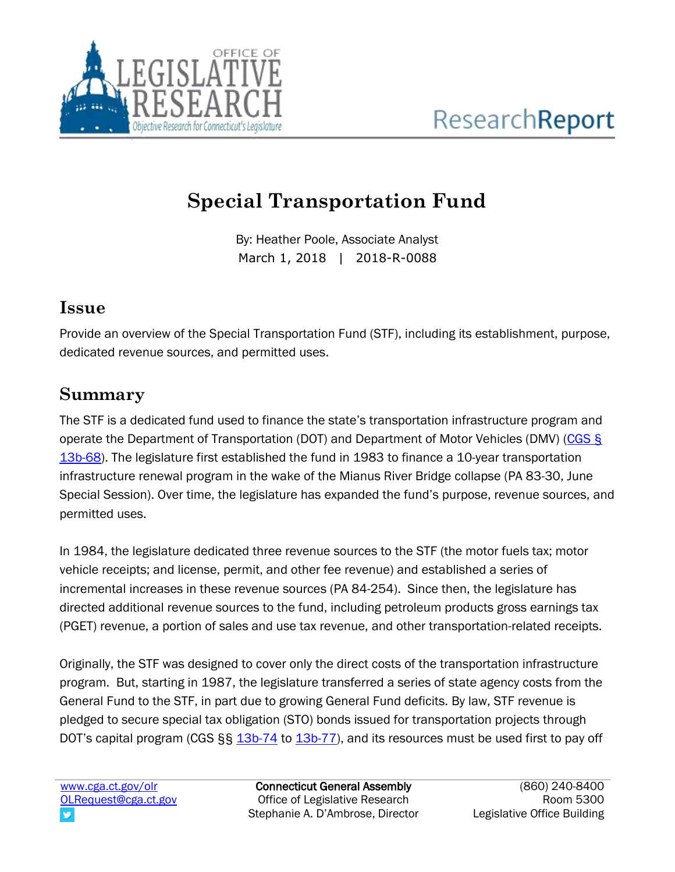

# **Special Transportation Fund**

By: Heather Poole, Associate Analyst March 1, 2018 | 2018-R-0088

## **Issue**

Provide an overview of the Special Transportation Fund (STF), including its establishment, purpose, dedicated revenue sources, and permitted uses.

# **Summary**

The STF is a dedicated fund used to finance the state's transportation infrastructure program and operate the Department of Transportation (DOT) and Department of Motor Vehicles (DMV) [\(CGS §](https://www.cga.ct.gov/current/pub/chap_243.htm#sec_13b-68)  [13b-68\)](https://www.cga.ct.gov/current/pub/chap_243.htm#sec_13b-68). The legislature first established the fund in 1983 to finance a 10-year transportation infrastructure renewal program in the wake of the Mianus River Bridge collapse (PA 83-30, June Special Session). Over time, the legislature has expanded the fund's purpose, revenue sources, and permitted uses.

In 1984, the legislature dedicated three revenue sources to the STF (the motor fuels tax; motor vehicle receipts; and license, permit, and other fee revenue) and established a series of incremental increases in these revenue sources (PA 84-254). Since then, the legislature has directed additional revenue sources to the fund, including petroleum products gross earnings tax (PGET) revenue, a portion of sales and use tax revenue, and other transportation-related receipts.

Originally, the STF was designed to cover only the direct costs of the transportation infrastructure program. But, starting in 1987, the legislature transferred a series of state agency costs from the General Fund to the STF, in part due to growing General Fund deficits. By law, STF revenue is pledged to secure special tax obligation (STO) bonds issued for transportation projects through DOT's capital program (CGS §§ [13b-74](https://www.cga.ct.gov/current/pub/chap_243.htm#sec_13b-74) to [13b-77\)](https://www.cga.ct.gov/current/pub/chap_243.htm#sec_13b-77), and its resources must be used first to pay off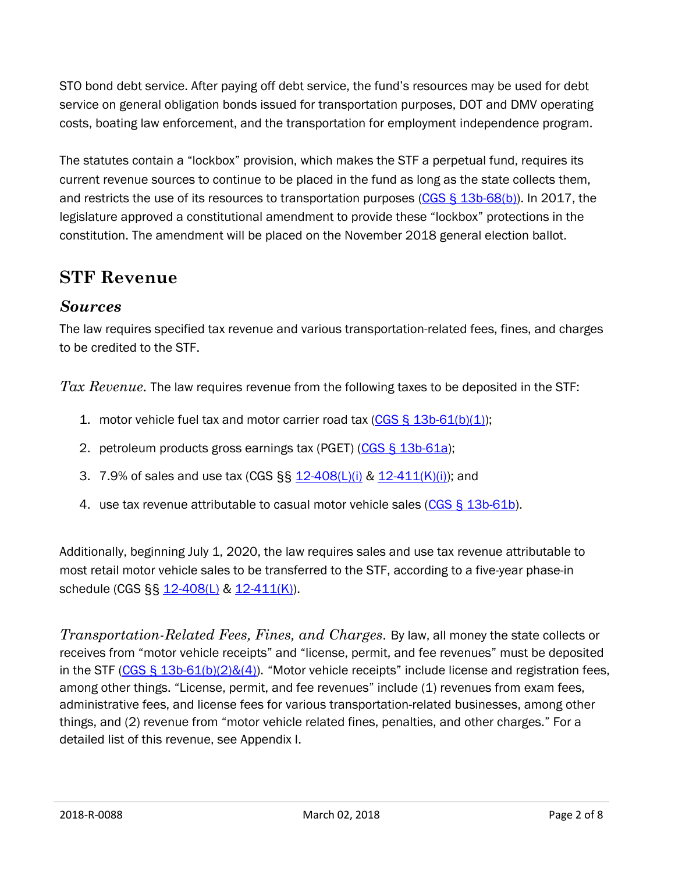STO bond debt service. After paying off debt service, the fund's resources may be used for debt service on general obligation bonds issued for transportation purposes, DOT and DMV operating costs, boating law enforcement, and the transportation for employment independence program.

The statutes contain a "lockbox" provision, which makes the STF a perpetual fund, requires its current revenue sources to continue to be placed in the fund as long as the state collects them, and restricts the use of its resources to transportation purposes  $(CGS S 13b-68(b))$ . In 2017, the legislature approved a constitutional amendment to provide these "lockbox" protections in the constitution. The amendment will be placed on the November 2018 general election ballot.

# **STF Revenue**

#### *Sources*

The law requires specified tax revenue and various transportation-related fees, fines, and charges to be credited to the STF.

*Tax Revenue.* The law requires revenue from the following taxes to be deposited in the STF:

- 1. motor vehicle fuel tax and motor carrier road tax  $(CGS \S 13b-61(b)(1));$
- 2. petroleum products gross earnings tax (PGET) [\(CGS § 13b-61a\)](https://www.cga.ct.gov/current/pub/chap_243.htm#sec_13b-61a);
- 3. 7.9% of sales and use tax (CGS §§ [12-408\(L\)\(i\)](https://www.cga.ct.gov/current/pub/chap_219.htm#sec_12-408) & [12-411\(K\)\(i\)\)](https://www.cga.ct.gov/current/pub/chap_219.htm#sec_12-411); and
- 4. use tax revenue attributable to casual motor vehicle sales [\(CGS § 13b-61b\)](https://www.cga.ct.gov/current/pub/chap_243.htm#sec_13b-61b).

Additionally, beginning July 1, 2020, the law requires sales and use tax revenue attributable to most retail motor vehicle sales to be transferred to the STF, according to a five-year phase-in schedule (CGS §§ [12-408\(L\)](https://www.cga.ct.gov/current/pub/chap_219.htm#sec_12-408) & [12-411\(K\)\)](https://www.cga.ct.gov/current/pub/chap_219.htm#sec_12-411).

*Transportation-Related Fees, Fines, and Charges.* By law, all money the state collects or receives from "motor vehicle receipts" and "license, permit, and fee revenues" must be deposited in the STF (CGS  $\S$  13b-61(b)(2)&(4)). "Motor vehicle receipts" include license and registration fees, among other things. "License, permit, and fee revenues" include (1) revenues from exam fees, administrative fees, and license fees for various transportation-related businesses, among other things, and (2) revenue from "motor vehicle related fines, penalties, and other charges." For a detailed list of this revenue, see Appendix I.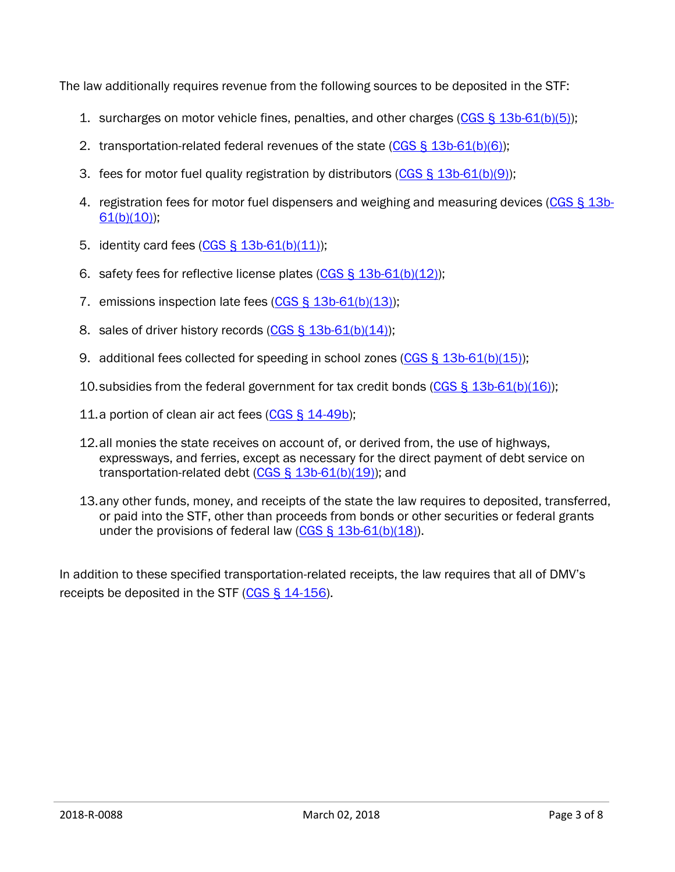The law additionally requires revenue from the following sources to be deposited in the STF:

- 1. surcharges on motor vehicle fines, penalties, and other charges [\(CGS § 13b-61\(b\)\(5\)\)](https://www.cga.ct.gov/current/pub/chap_243.htm#sec_13b-61);
- 2. transportation-related federal revenues of the state [\(CGS § 13b-61\(b\)\(6\)\)](https://www.cga.ct.gov/current/pub/chap_243.htm#sec_13b-61);
- 3. fees for motor fuel quality registration by distributors (CGS  $\S$  13b-61(b)(9));
- 4. registration fees for motor fuel dispensers and weighing and measuring devices [\(CGS § 13b-](https://www.cga.ct.gov/current/pub/chap_243.htm#sec_13b-61) $61(b)(10)$ ;
- 5. identity card fees  $(CGS \S 13b-61(b)(11))$ ;
- 6. safety fees for reflective license plates  $(CGS \S 13b-61(b)(12))$ ;
- 7. emissions inspection late fees [\(CGS § 13b-61\(b\)\(13\)\)](https://www.cga.ct.gov/current/pub/chap_243.htm#sec_13b-61);
- 8. sales of driver history records [\(CGS § 13b-61\(b\)\(14\)\)](https://www.cga.ct.gov/current/pub/chap_243.htm#sec_13b-61);
- 9. additional fees collected for speeding in school zones [\(CGS § 13b-61\(b\)\(15\)\)](https://www.cga.ct.gov/current/pub/chap_243.htm#sec_13b-61);
- 10.subsidies from the federal government for tax credit bonds [\(CGS § 13b-61\(b\)\(16\)\)](https://www.cga.ct.gov/current/pub/chap_243.htm#sec_13b-61);
- 11.a portion of clean air act fees [\(CGS § 14-49b\)](https://www.cga.ct.gov/current/pub/chap_246.htm#sec_14-49b);
- 12.all monies the state receives on account of, or derived from, the use of highways, expressways, and ferries, except as necessary for the direct payment of debt service on transportation-related debt  $(CGS \S 13b-61(b)(19))$ ; and
- 13.any other funds, money, and receipts of the state the law requires to deposited, transferred, or paid into the STF, other than proceeds from bonds or other securities or federal grants under the provisions of federal law [\(CGS § 13b-61\(b\)\(18\)\)](https://www.cga.ct.gov/current/pub/chap_243.htm#sec_13b-61).

In addition to these specified transportation-related receipts, the law requires that all of DMV's receipts be deposited in the STF  $(CGS \S 14-156)$ .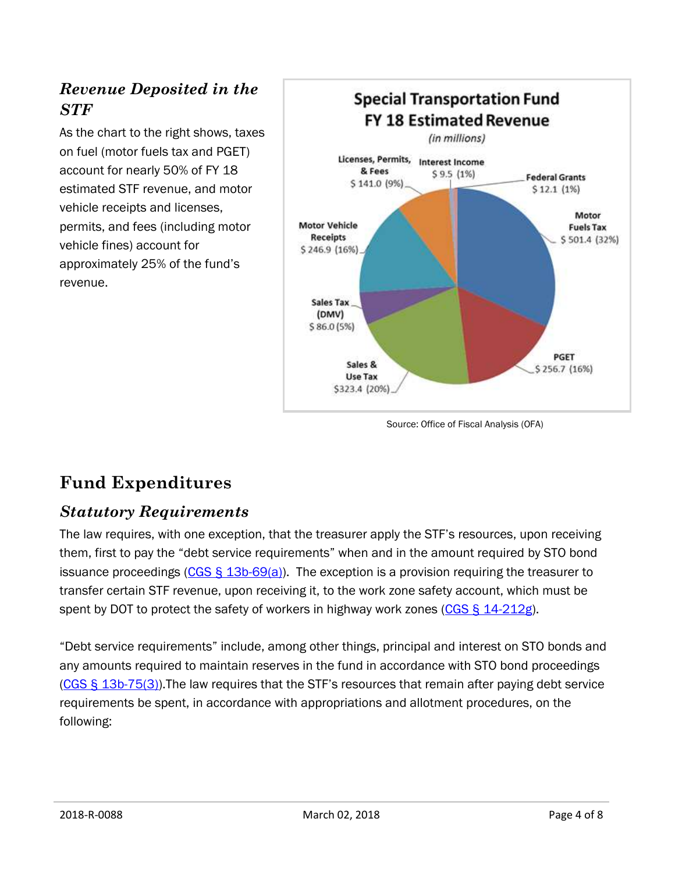## *Revenue Deposited in the STF*

As the chart to the right shows, taxes on fuel (motor fuels tax and PGET) account for nearly 50% of FY 18 estimated STF revenue, and motor vehicle receipts and licenses, permits, and fees (including motor vehicle fines) account for approximately 25% of the fund's revenue.



Source: Office of Fiscal Analysis (OFA)

# **Fund Expenditures**

### *Statutory Requirements*

The law requires, with one exception, that the treasurer apply the STF's resources, upon receiving them, first to pay the "debt service requirements" when and in the amount required by STO bond issuance proceedings (CGS  $\S$  13b-69(a)). The exception is a provision requiring the treasurer to transfer certain STF revenue, upon receiving it, to the work zone safety account, which must be spent by DOT to protect the safety of workers in highway work zones [\(CGS § 14-212g\)](https://www.cga.ct.gov/current/pub/chap_248.htm#sec_14-212g).

"Debt service requirements" include, among other things, principal and interest on STO bonds and any amounts required to maintain reserves in the fund in accordance with STO bond proceedings [\(CGS § 13b-75\(3\)\)](https://www.cga.ct.gov/current/pub/chap_243.htm#sec_13b-75).The law requires that the STF's resources that remain after paying debt service requirements be spent, in accordance with appropriations and allotment procedures, on the following: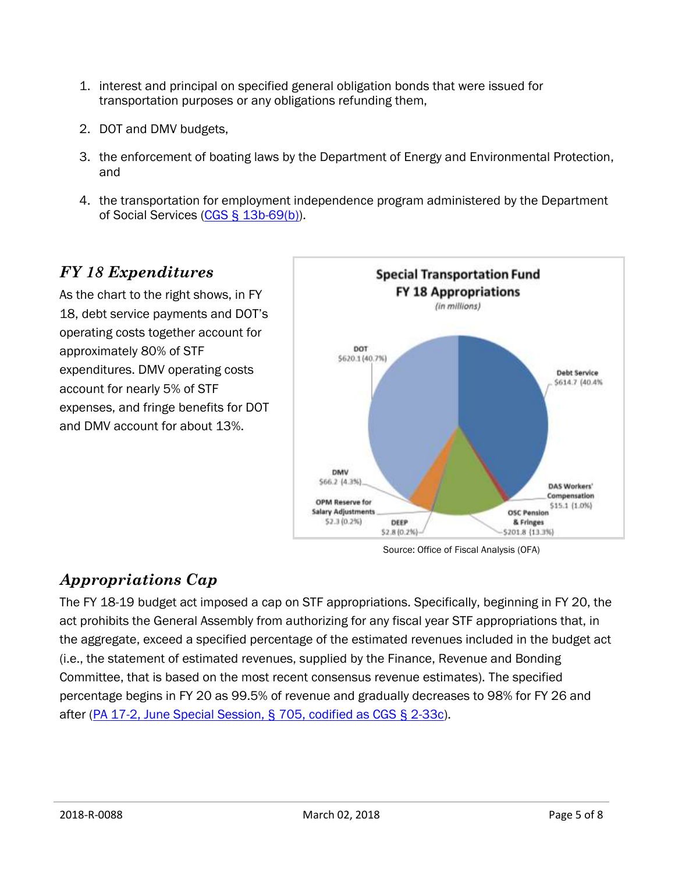- 1. interest and principal on specified general obligation bonds that were issued for transportation purposes or any obligations refunding them,
- 2. DOT and DMV budgets,
- 3. the enforcement of boating laws by the Department of Energy and Environmental Protection, and
- 4. the transportation for employment independence program administered by the Department of Social Services [\(CGS § 13b-69\(b\)\)](https://www.cga.ct.gov/current/pub/chap_243.htm#sec_13b-69).

### *FY 18 Expenditures*

As the chart to the right shows, in FY 18, debt service payments and DOT's operating costs together account for approximately 80% of STF expenditures. DMV operating costs account for nearly 5% of STF expenses, and fringe benefits for DOT and DMV account for about 13%.



Source: Office of Fiscal Analysis (OFA)

### *Appropriations Cap*

The FY 18-19 budget act imposed a cap on STF appropriations. Specifically, beginning in FY 20, the act prohibits the General Assembly from authorizing for any fiscal year STF appropriations that, in the aggregate, exceed a specified percentage of the estimated revenues included in the budget act (i.e., the statement of estimated revenues, supplied by the Finance, Revenue and Bonding Committee, that is based on the most recent consensus revenue estimates). The specified percentage begins in FY 20 as 99.5% of revenue and gradually decreases to 98% for FY 26 and after [\(PA 17-2, June Special Session, § 705, codified as CGS § 2-33c\)](https://www.cga.ct.gov/asp/cgabillstatus/CGAbillstatus.asp?selBillType=Bill&bill_num=1502&which_year=2017).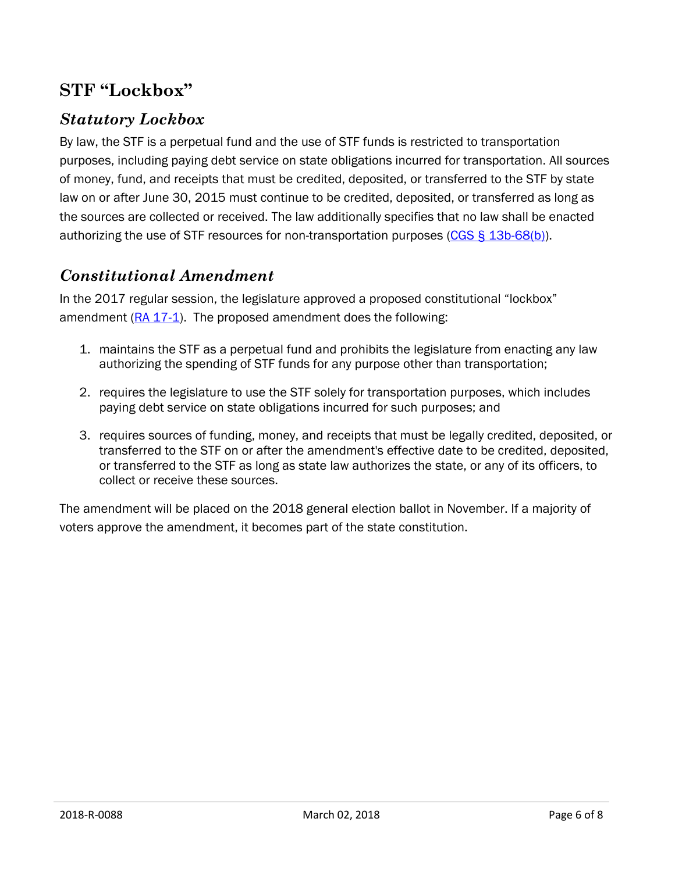### **STF "Lockbox"**

#### *Statutory Lockbox*

By law, the STF is a perpetual fund and the use of STF funds is restricted to transportation purposes, including paying debt service on state obligations incurred for transportation. All sources of money, fund, and receipts that must be credited, deposited, or transferred to the STF by state law on or after June 30, 2015 must continue to be credited, deposited, or transferred as long as the sources are collected or received. The law additionally specifies that no law shall be enacted authorizing the use of STF resources for non-transportation purposes [\(CGS § 13b-68\(b\)\)](https://www.cga.ct.gov/current/pub/chap_243.htm#sec_13b-68).

#### *Constitutional Amendment*

In the 2017 regular session, the legislature approved a proposed constitutional "lockbox" amendment  $(RA 17-1)$ . The proposed amendment does the following:

- 1. maintains the STF as a perpetual fund and prohibits the legislature from enacting any law authorizing the spending of STF funds for any purpose other than transportation;
- 2. requires the legislature to use the STF solely for transportation purposes, which includes paying debt service on state obligations incurred for such purposes; and
- 3. requires sources of funding, money, and receipts that must be legally credited, deposited, or transferred to the STF on or after the amendment's effective date to be credited, deposited, or transferred to the STF as long as state law authorizes the state, or any of its officers, to collect or receive these sources.

The amendment will be placed on the 2018 general election ballot in November. If a majority of voters approve the amendment, it becomes part of the state constitution.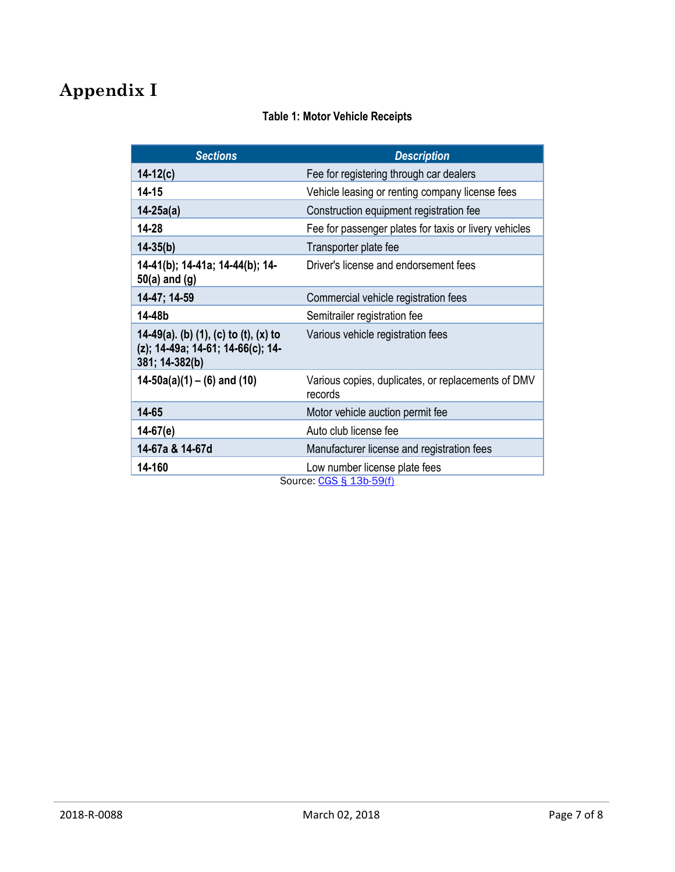# **Appendix I**

| <b>Table 1: Motor Vehicle Receipts</b> |  |  |  |  |  |
|----------------------------------------|--|--|--|--|--|
|----------------------------------------|--|--|--|--|--|

| <b>Sections</b>                                                                              | <b>Description</b>                                            |
|----------------------------------------------------------------------------------------------|---------------------------------------------------------------|
| $14 - 12(c)$                                                                                 | Fee for registering through car dealers                       |
| 14-15                                                                                        | Vehicle leasing or renting company license fees               |
| $14 - 25a(a)$                                                                                | Construction equipment registration fee                       |
| 14-28                                                                                        | Fee for passenger plates for taxis or livery vehicles         |
| $14 - 35(b)$                                                                                 | Transporter plate fee                                         |
| 14-41(b); 14-41a; 14-44(b); 14-<br>$50(a)$ and $(g)$                                         | Driver's license and endorsement fees                         |
| 14-47; 14-59                                                                                 | Commercial vehicle registration fees                          |
| 14-48b                                                                                       | Semitrailer registration fee                                  |
| 14-49(a). (b) (1), (c) to (t), (x) to<br>(z); 14-49a; 14-61; 14-66(c); 14-<br>381; 14-382(b) | Various vehicle registration fees                             |
| $14-50a(a)(1) - (6)$ and (10)                                                                | Various copies, duplicates, or replacements of DMV<br>records |
| 14-65                                                                                        | Motor vehicle auction permit fee                              |
| $14-67(e)$                                                                                   | Auto club license fee                                         |
| 14-67a & 14-67d                                                                              | Manufacturer license and registration fees                    |
| 14-160                                                                                       | Low number license plate fees<br>Course CCC C 12h EO(f)       |

Source[: CGS § 13b-59\(f\)](https://www.cga.ct.gov/current/pub/chap_243.htm#sec_13b-59)